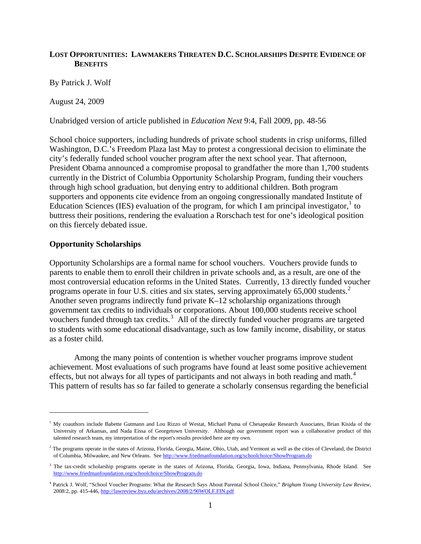# **LOST OPPORTUNITIES: LAWMAKERS THREATEN D.C. SCHOLARSHIPS DESPITE EVIDENCE OF BENEFITS**

By Patrick J. Wolf

August 24, 2009

Unabridged version of article published in *Education Next* 9:4, Fall 2009, pp. 48-56

School choice supporters, including hundreds of private school students in crisp uniforms, filled Washington, D.C.'s Freedom Plaza last May to protest a congressional decision to eliminate the city's federally funded school voucher program after the next school year. That afternoon, President Obama announced a compromise proposal to grandfather the more than 1,700 students currently in the District of Columbia Opportunity Scholarship Program, funding their vouchers through high school graduation, but denying entry to additional children. Both program supporters and opponents cite evidence from an ongoing congressionally mandated Institute of Education Sciences (IES) evaluation of the program, for which I am principal investigator,<sup>[1](#page-0-0)</sup> to buttress their positions, rendering the evaluation a Rorschach test for one's ideological position on this fiercely debated issue.

### **Opportunity Scholarships**

 $\overline{a}$ 

Opportunity Scholarships are a formal name for school vouchers. Vouchers provide funds to parents to enable them to enroll their children in private schools and, as a result, are one of the most controversial education reforms in the United States. Currently, 13 directly funded voucher programs operate in four U.S. cities and six states, serving approximately  $65,000$  students.<sup>[2](#page-0-1)</sup> Another seven programs indirectly fund private K–12 scholarship organizations through government tax credits to individuals or corporations. About 100,000 students receive school vouchers funded through tax credits.<sup>[3](#page-0-2)</sup> All of the directly funded voucher programs are targeted to students with some educational disadvantage, such as low family income, disability, or status as a foster child.

 Among the many points of contention is whether voucher programs improve student achievement. Most evaluations of such programs have found at least some positive achievement effects, but not always for all types of participants and not always in both reading and math.<sup>[4](#page-0-3)</sup> This pattern of results has so far failed to generate a scholarly consensus regarding the beneficial

<span id="page-0-0"></span><sup>&</sup>lt;sup>1</sup> My coauthors include Babette Gutmann and Lou Rizzo of Westat, Michael Puma of Chesapeake Research Associates, Brian Kisida of the University of Arkansas, and Nada Eissa of Georgetown University. Although our government report was a collaborative product of this talented research team, my interpretation of the report's results provided here are my own.

<span id="page-0-1"></span><sup>&</sup>lt;sup>2</sup> The programs operate in the states of Arizona, Florida, Georgia, Maine, Ohio, Utah, and Vermont as well as the cities of Cleveland, the District of Columbia, Milwaukee, and New Orleans. See <http://www.friedmanfoundation.org/schoolchoice/ShowProgram.do>

<span id="page-0-2"></span><sup>&</sup>lt;sup>3</sup> The tax-credit scholarship programs operate in the states of Arizona, Florida, Georgia, Iowa, Indiana, Pennsylvania, Rhode Island. See <http://www.friedmanfoundation.org/schoolchoice/ShowProgram.do>

<span id="page-0-3"></span><sup>4</sup> Patrick J. Wolf, "School Voucher Programs: What the Research Says About Parental School Choice," *Brigham Young University Law Review*, 2008:2, pp. 415-446, <http://lawreview.byu.edu/archives/2008/2/90WOLF.FIN.pdf>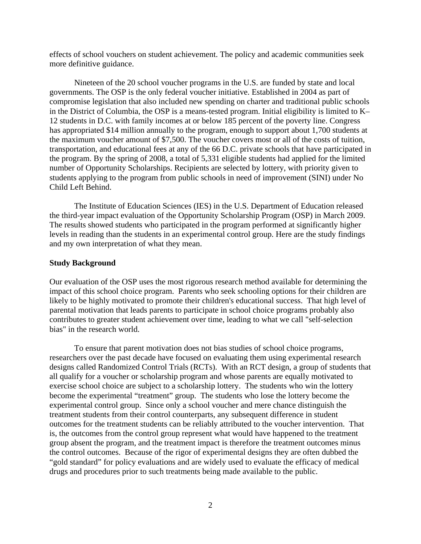effects of school vouchers on student achievement. The policy and academic communities seek more definitive guidance.

 Nineteen of the 20 school voucher programs in the U.S. are funded by state and local governments. The OSP is the only federal voucher initiative. Established in 2004 as part of compromise legislation that also included new spending on charter and traditional public schools in the District of Columbia, the OSP is a means-tested program. Initial eligibility is limited to K– 12 students in D.C. with family incomes at or below 185 percent of the poverty line. Congress has appropriated \$14 million annually to the program, enough to support about 1,700 students at the maximum voucher amount of \$7,500. The voucher covers most or all of the costs of tuition, transportation, and educational fees at any of the 66 D.C. private schools that have participated in the program. By the spring of 2008, a total of 5,331 eligible students had applied for the limited number of Opportunity Scholarships. Recipients are selected by lottery, with priority given to students applying to the program from public schools in need of improvement (SINI) under No Child Left Behind.

 The Institute of Education Sciences (IES) in the U.S. Department of Education released the third-year impact evaluation of the Opportunity Scholarship Program (OSP) in March 2009. The results showed students who participated in the program performed at significantly higher levels in reading than the students in an experimental control group. Here are the study findings and my own interpretation of what they mean.

#### **Study Background**

Our evaluation of the OSP uses the most rigorous research method available for determining the impact of this school choice program. Parents who seek schooling options for their children are likely to be highly motivated to promote their children's educational success. That high level of parental motivation that leads parents to participate in school choice programs probably also contributes to greater student achievement over time, leading to what we call "self-selection bias" in the research world.

 To ensure that parent motivation does not bias studies of school choice programs, researchers over the past decade have focused on evaluating them using experimental research designs called Randomized Control Trials (RCTs). With an RCT design, a group of students that all qualify for a voucher or scholarship program and whose parents are equally motivated to exercise school choice are subject to a scholarship lottery. The students who win the lottery become the experimental "treatment" group. The students who lose the lottery become the experimental control group. Since only a school voucher and mere chance distinguish the treatment students from their control counterparts, any subsequent difference in student outcomes for the treatment students can be reliably attributed to the voucher intervention. That is, the outcomes from the control group represent what would have happened to the treatment group absent the program, and the treatment impact is therefore the treatment outcomes minus the control outcomes. Because of the rigor of experimental designs they are often dubbed the "gold standard" for policy evaluations and are widely used to evaluate the efficacy of medical drugs and procedures prior to such treatments being made available to the public.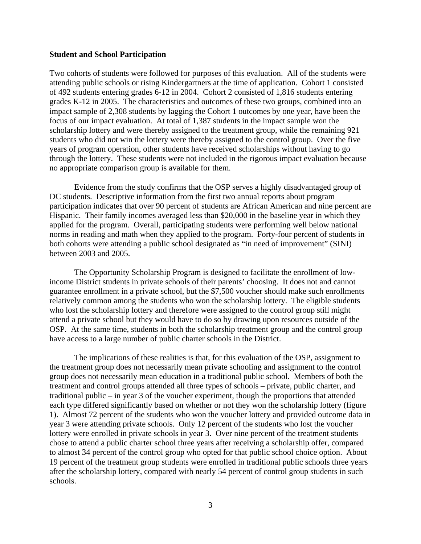#### **Student and School Participation**

Two cohorts of students were followed for purposes of this evaluation. All of the students were attending public schools or rising Kindergartners at the time of application. Cohort 1 consisted of 492 students entering grades 6-12 in 2004. Cohort 2 consisted of 1,816 students entering grades K-12 in 2005. The characteristics and outcomes of these two groups, combined into an impact sample of 2,308 students by lagging the Cohort 1 outcomes by one year, have been the focus of our impact evaluation. At total of 1,387 students in the impact sample won the scholarship lottery and were thereby assigned to the treatment group, while the remaining 921 students who did not win the lottery were thereby assigned to the control group. Over the five years of program operation, other students have received scholarships without having to go through the lottery. These students were not included in the rigorous impact evaluation because no appropriate comparison group is available for them.

 Evidence from the study confirms that the OSP serves a highly disadvantaged group of DC students. Descriptive information from the first two annual reports about program participation indicates that over 90 percent of students are African American and nine percent are Hispanic. Their family incomes averaged less than \$20,000 in the baseline year in which they applied for the program. Overall, participating students were performing well below national norms in reading and math when they applied to the program. Forty-four percent of students in both cohorts were attending a public school designated as "in need of improvement" (SINI) between 2003 and 2005.

 The Opportunity Scholarship Program is designed to facilitate the enrollment of lowincome District students in private schools of their parents' choosing. It does not and cannot guarantee enrollment in a private school, but the \$7,500 voucher should make such enrollments relatively common among the students who won the scholarship lottery. The eligible students who lost the scholarship lottery and therefore were assigned to the control group still might attend a private school but they would have to do so by drawing upon resources outside of the OSP. At the same time, students in both the scholarship treatment group and the control group have access to a large number of public charter schools in the District.

 The implications of these realities is that, for this evaluation of the OSP, assignment to the treatment group does not necessarily mean private schooling and assignment to the control group does not necessarily mean education in a traditional public school. Members of both the treatment and control groups attended all three types of schools – private, public charter, and traditional public – in year 3 of the voucher experiment, though the proportions that attended each type differed significantly based on whether or not they won the scholarship lottery (figure 1). Almost 72 percent of the students who won the voucher lottery and provided outcome data in year 3 were attending private schools. Only 12 percent of the students who lost the voucher lottery were enrolled in private schools in year 3. Over nine percent of the treatment students chose to attend a public charter school three years after receiving a scholarship offer, compared to almost 34 percent of the control group who opted for that public school choice option. About 19 percent of the treatment group students were enrolled in traditional public schools three years after the scholarship lottery, compared with nearly 54 percent of control group students in such schools.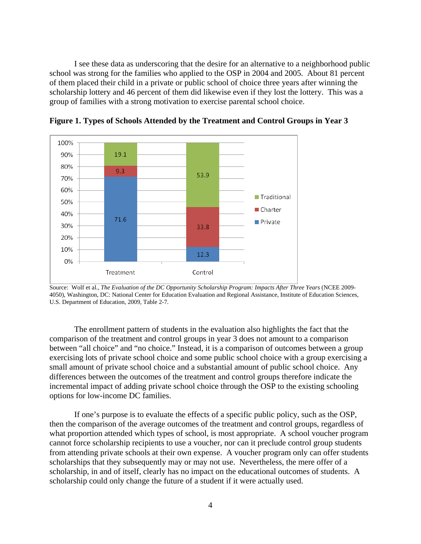I see these data as underscoring that the desire for an alternative to a neighborhood public school was strong for the families who applied to the OSP in 2004 and 2005. About 81 percent of them placed their child in a private or public school of choice three years after winning the scholarship lottery and 46 percent of them did likewise even if they lost the lottery. This was a group of families with a strong motivation to exercise parental school choice.



**Figure 1. Types of Schools Attended by the Treatment and Control Groups in Year 3** 

Source: Wolf et al., *The Evaluation of the DC Opportunity Scholarship Program: Impacts After Three Years* (NCEE 2009- 4050), Washington, DC: National Center for Education Evaluation and Regional Assistance, Institute of Education Sciences, U.S. Department of Education, 2009, Table 2-7.

The enrollment pattern of students in the evaluation also highlights the fact that the comparison of the treatment and control groups in year 3 does not amount to a comparison between "all choice" and "no choice." Instead, it is a comparison of outcomes between a group exercising lots of private school choice and some public school choice with a group exercising a small amount of private school choice and a substantial amount of public school choice. Any differences between the outcomes of the treatment and control groups therefore indicate the incremental impact of adding private school choice through the OSP to the existing schooling options for low-income DC families.

If one's purpose is to evaluate the effects of a specific public policy, such as the OSP, then the comparison of the average outcomes of the treatment and control groups, regardless of what proportion attended which types of school, is most appropriate. A school voucher program cannot force scholarship recipients to use a voucher, nor can it preclude control group students from attending private schools at their own expense. A voucher program only can offer students scholarships that they subsequently may or may not use. Nevertheless, the mere offer of a scholarship, in and of itself, clearly has no impact on the educational outcomes of students. A scholarship could only change the future of a student if it were actually used.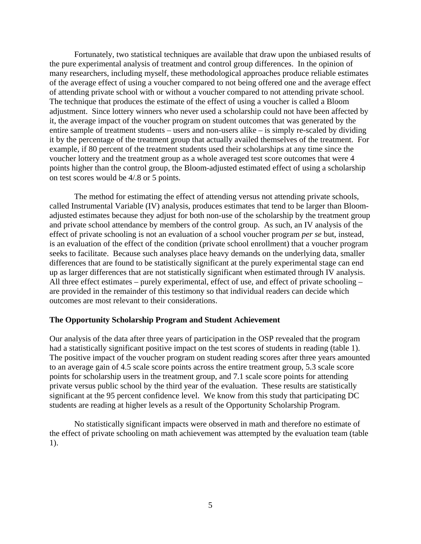Fortunately, two statistical techniques are available that draw upon the unbiased results of the pure experimental analysis of treatment and control group differences. In the opinion of many researchers, including myself, these methodological approaches produce reliable estimates of the average effect of using a voucher compared to not being offered one and the average effect of attending private school with or without a voucher compared to not attending private school. The technique that produces the estimate of the effect of using a voucher is called a Bloom adjustment. Since lottery winners who never used a scholarship could not have been affected by it, the average impact of the voucher program on student outcomes that was generated by the entire sample of treatment students – users and non-users alike – is simply re-scaled by dividing it by the percentage of the treatment group that actually availed themselves of the treatment. For example, if 80 percent of the treatment students used their scholarships at any time since the voucher lottery and the treatment group as a whole averaged test score outcomes that were 4 points higher than the control group, the Bloom-adjusted estimated effect of using a scholarship on test scores would be 4/.8 or 5 points.

The method for estimating the effect of attending versus not attending private schools, called Instrumental Variable (IV) analysis, produces estimates that tend to be larger than Bloomadjusted estimates because they adjust for both non-use of the scholarship by the treatment group and private school attendance by members of the control group. As such, an IV analysis of the effect of private schooling is not an evaluation of a school voucher program *per se* but, instead, is an evaluation of the effect of the condition (private school enrollment) that a voucher program seeks to facilitate. Because such analyses place heavy demands on the underlying data, smaller differences that are found to be statistically significant at the purely experimental stage can end up as larger differences that are not statistically significant when estimated through IV analysis. All three effect estimates – purely experimental, effect of use, and effect of private schooling – are provided in the remainder of this testimony so that individual readers can decide which outcomes are most relevant to their considerations.

#### **The Opportunity Scholarship Program and Student Achievement**

Our analysis of the data after three years of participation in the OSP revealed that the program had a statistically significant positive impact on the test scores of students in reading (table 1). The positive impact of the voucher program on student reading scores after three years amounted to an average gain of 4.5 scale score points across the entire treatment group, 5.3 scale score points for scholarship users in the treatment group, and 7.1 scale score points for attending private versus public school by the third year of the evaluation. These results are statistically significant at the 95 percent confidence level. We know from this study that participating DC students are reading at higher levels as a result of the Opportunity Scholarship Program.

 No statistically significant impacts were observed in math and therefore no estimate of the effect of private schooling on math achievement was attempted by the evaluation team (table 1).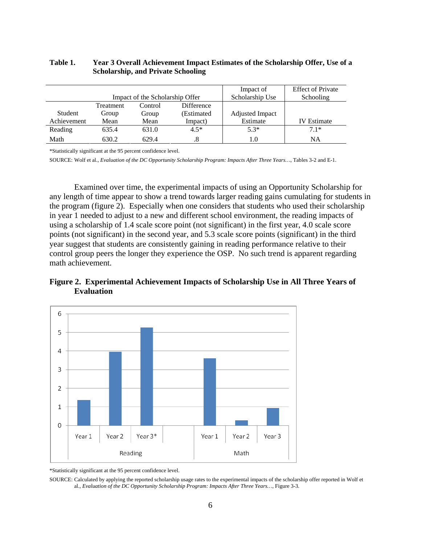#### **Table 1. Year 3 Overall Achievement Impact Estimates of the Scholarship Offer, Use of a Scholarship, and Private Schooling**

|             |                                 |         |                   | Impact of              | <b>Effect of Private</b> |
|-------------|---------------------------------|---------|-------------------|------------------------|--------------------------|
|             | Impact of the Scholarship Offer |         |                   | Scholarship Use        | Schooling                |
|             | Treatment                       | Control | <b>Difference</b> |                        |                          |
| Student     | Group                           | Group   | (Estimated        | <b>Adjusted Impact</b> |                          |
| Achievement | Mean                            | Mean    | Impact)           | Estimate               | <b>IV</b> Estimate       |
| Reading     | 635.4                           | 631.0   | $4.5*$            | $5.3*$                 | $71*$                    |
| Math        | 630.2                           | 629.4   |                   | 1.0                    | NA                       |

\*Statistically significant at the 95 percent confidence level.

SOURCE: Wolf et al., *Evaluation of the DC Opportunity Scholarship Program: Impacts After Three Years…*, Tables 3-2 and E-1.

Examined over time, the experimental impacts of using an Opportunity Scholarship for any length of time appear to show a trend towards larger reading gains cumulating for students in the program (figure 2). Especially when one considers that students who used their scholarship in year 1 needed to adjust to a new and different school environment, the reading impacts of using a scholarship of 1.4 scale score point (not significant) in the first year, 4.0 scale score points (not significant) in the second year, and 5.3 scale score points (significant) in the third year suggest that students are consistently gaining in reading performance relative to their control group peers the longer they experience the OSP. No such trend is apparent regarding math achievement.

## **Figure 2. Experimental Achievement Impacts of Scholarship Use in All Three Years of Evaluation**



\*Statistically significant at the 95 percent confidence level.

SOURCE: Calculated by applying the reported scholarship usage rates to the experimental impacts of the scholarship offer reported in Wolf et al., *Evaluation of the DC Opportunity Scholarship Program: Impacts After Three Years…*, Figure 3-3.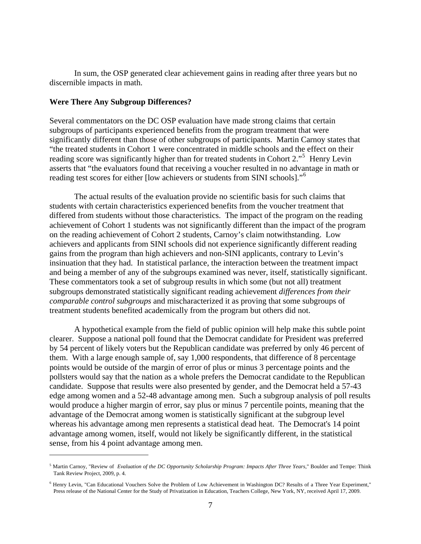In sum, the OSP generated clear achievement gains in reading after three years but no discernible impacts in math.

#### **Were There Any Subgroup Differences?**

<u>.</u>

Several commentators on the DC OSP evaluation have made strong claims that certain subgroups of participants experienced benefits from the program treatment that were significantly different than those of other subgroups of participants. Martin Carnoy states that "the treated students in Cohort 1 were concentrated in middle schools and the effect on their reading score was significantly higher than for treated students in Cohort 2."<sup>[5](#page-6-0)</sup> Henry Levin asserts that "the evaluators found that receiving a voucher resulted in no advantage in math or reading test scores for either [low achievers or students from SINI schools]."[6](#page-6-1)

The actual results of the evaluation provide no scientific basis for such claims that students with certain characteristics experienced benefits from the voucher treatment that differed from students without those characteristics. The impact of the program on the reading achievement of Cohort 1 students was not significantly different than the impact of the program on the reading achievement of Cohort 2 students, Carnoy's claim notwithstanding. Low achievers and applicants from SINI schools did not experience significantly different reading gains from the program than high achievers and non-SINI applicants, contrary to Levin's insinuation that they had. In statistical parlance, the interaction between the treatment impact and being a member of any of the subgroups examined was never, itself, statistically significant. These commentators took a set of subgroup results in which some (but not all) treatment subgroups demonstrated statistically significant reading achievement *differences from their comparable control subgroups* and mischaracterized it as proving that some subgroups of treatment students benefited academically from the program but others did not.

 A hypothetical example from the field of public opinion will help make this subtle point clearer. Suppose a national poll found that the Democrat candidate for President was preferred by 54 percent of likely voters but the Republican candidate was preferred by only 46 percent of them. With a large enough sample of, say 1,000 respondents, that difference of 8 percentage points would be outside of the margin of error of plus or minus 3 percentage points and the pollsters would say that the nation as a whole prefers the Democrat candidate to the Republican candidate. Suppose that results were also presented by gender, and the Democrat held a 57-43 edge among women and a 52-48 advantage among men. Such a subgroup analysis of poll results would produce a higher margin of error, say plus or minus 7 percentile points, meaning that the advantage of the Democrat among women is statistically significant at the subgroup level whereas his advantage among men represents a statistical dead heat. The Democrat's 14 point advantage among women, itself, would not likely be significantly different, in the statistical sense, from his 4 point advantage among men.

<span id="page-6-0"></span><sup>5</sup> Martin Carnoy, "Review of *Evaluation of the DC Opportunity Scholarship Program: Impacts After Three Years*," Boulder and Tempe: Think Tank Review Project, 2009, p. 4.

<span id="page-6-1"></span><sup>&</sup>lt;sup>6</sup> Henry Levin, "Can Educational Vouchers Solve the Problem of Low Achievement in Washington DC? Results of a Three Year Experiment," Press release of the National Center for the Study of Privatization in Education, Teachers College, New York, NY, received April 17, 2009.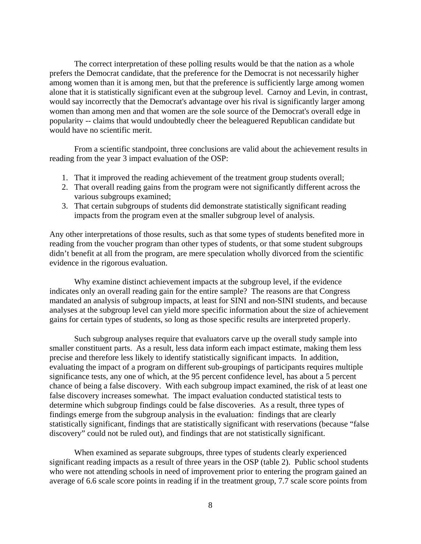The correct interpretation of these polling results would be that the nation as a whole prefers the Democrat candidate, that the preference for the Democrat is not necessarily higher among women than it is among men, but that the preference is sufficiently large among women alone that it is statistically significant even at the subgroup level. Carnoy and Levin, in contrast, would say incorrectly that the Democrat's advantage over his rival is significantly larger among women than among men and that women are the sole source of the Democrat's overall edge in popularity -- claims that would undoubtedly cheer the beleaguered Republican candidate but would have no scientific merit.

 From a scientific standpoint, three conclusions are valid about the achievement results in reading from the year 3 impact evaluation of the OSP:

- 1. That it improved the reading achievement of the treatment group students overall;
- 2. That overall reading gains from the program were not significantly different across the various subgroups examined;
- 3. That certain subgroups of students did demonstrate statistically significant reading impacts from the program even at the smaller subgroup level of analysis.

Any other interpretations of those results, such as that some types of students benefited more in reading from the voucher program than other types of students, or that some student subgroups didn't benefit at all from the program, are mere speculation wholly divorced from the scientific evidence in the rigorous evaluation.

 Why examine distinct achievement impacts at the subgroup level, if the evidence indicates only an overall reading gain for the entire sample? The reasons are that Congress mandated an analysis of subgroup impacts, at least for SINI and non-SINI students, and because analyses at the subgroup level can yield more specific information about the size of achievement gains for certain types of students, so long as those specific results are interpreted properly.

 Such subgroup analyses require that evaluators carve up the overall study sample into smaller constituent parts. As a result, less data inform each impact estimate, making them less precise and therefore less likely to identify statistically significant impacts. In addition, evaluating the impact of a program on different sub-groupings of participants requires multiple significance tests, any one of which, at the 95 percent confidence level, has about a 5 percent chance of being a false discovery. With each subgroup impact examined, the risk of at least one false discovery increases somewhat. The impact evaluation conducted statistical tests to determine which subgroup findings could be false discoveries. As a result, three types of findings emerge from the subgroup analysis in the evaluation: findings that are clearly statistically significant, findings that are statistically significant with reservations (because "false discovery" could not be ruled out), and findings that are not statistically significant.

 When examined as separate subgroups, three types of students clearly experienced significant reading impacts as a result of three years in the OSP (table 2). Public school students who were not attending schools in need of improvement prior to entering the program gained an average of 6.6 scale score points in reading if in the treatment group, 7.7 scale score points from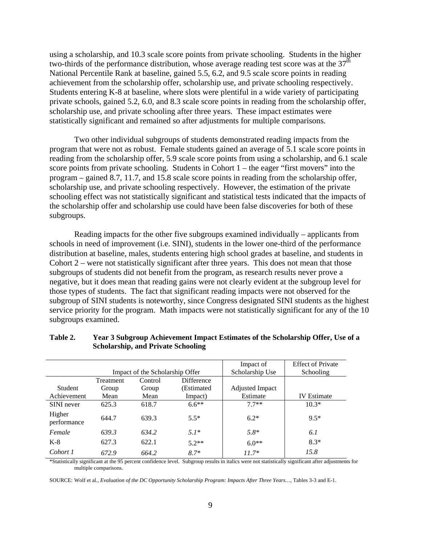using a scholarship, and 10.3 scale score points from private schooling. Students in the higher two-thirds of the performance distribution, whose average reading test score was at the  $37<sup>th</sup>$ National Percentile Rank at baseline, gained 5.5, 6.2, and 9.5 scale score points in reading achievement from the scholarship offer, scholarship use, and private schooling respectively. Students entering K-8 at baseline, where slots were plentiful in a wide variety of participating private schools, gained 5.2, 6.0, and 8.3 scale score points in reading from the scholarship offer, scholarship use, and private schooling after three years. These impact estimates were statistically significant and remained so after adjustments for multiple comparisons.

 Two other individual subgroups of students demonstrated reading impacts from the program that were not as robust. Female students gained an average of 5.1 scale score points in reading from the scholarship offer, 5.9 scale score points from using a scholarship, and 6.1 scale score points from private schooling. Students in Cohort  $1 -$  the eager "first movers" into the program – gained 8.7, 11.7, and 15.8 scale score points in reading from the scholarship offer, scholarship use, and private schooling respectively. However, the estimation of the private schooling effect was not statistically significant and statistical tests indicated that the impacts of the scholarship offer and scholarship use could have been false discoveries for both of these subgroups.

Reading impacts for the other five subgroups examined individually – applicants from schools in need of improvement (i.e. SINI), students in the lower one-third of the performance distribution at baseline, males, students entering high school grades at baseline, and students in Cohort 2 – were not statistically significant after three years. This does not mean that those subgroups of students did not benefit from the program, as research results never prove a negative, but it does mean that reading gains were not clearly evident at the subgroup level for those types of students. The fact that significant reading impacts were not observed for the subgroup of SINI students is noteworthy, since Congress designated SINI students as the highest service priority for the program. Math impacts were not statistically significant for any of the 10 subgroups examined.

|                       |                                 |         |            | Impact of       | <b>Effect of Private</b> |
|-----------------------|---------------------------------|---------|------------|-----------------|--------------------------|
|                       | Impact of the Scholarship Offer |         |            | Scholarship Use | Schooling                |
|                       | Treatment                       | Control | Difference |                 |                          |
| Student               | Group                           | Group   | (Estimated | Adjusted Impact |                          |
| Achievement           | Mean                            | Mean    | Impact)    | Estimate        | <b>IV</b> Estimate       |
| SINI never            | 625.3                           | 618.7   | $6.6**$    | $77**$          | $10.3*$                  |
| Higher<br>performance | 644.7                           | 639.3   | $5.5*$     | $6.2*$          | $9.5*$                   |
| Female                | 639.3                           | 634.2   | $5.1*$     | $5.8*$          | 6.1                      |
| $K-8$                 | 627.3                           | 622.1   | $5.2**$    | $6.0**$         | $8.3*$                   |
| Cohort 1              | 672.9                           | 664.2   | $8.7*$     | $11.7*$         | 15.8                     |

#### **Table 2. Year 3 Subgroup Achievement Impact Estimates of the Scholarship Offer, Use of a Scholarship, and Private Schooling**

\*Statistically significant at the 95 percent confidence level. Subgroup results in italics were not statistically significant after adjustments for multiple comparisons.

SOURCE: Wolf et al., *Evaluation of the DC Opportunity Scholarship Program: Impacts After Three Years…*, Tables 3-3 and E-1.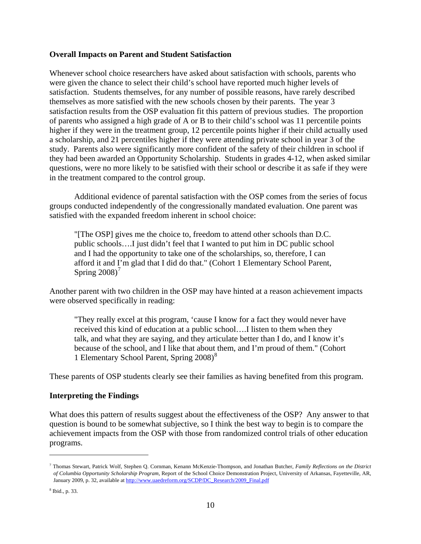## **Overall Impacts on Parent and Student Satisfaction**

Whenever school choice researchers have asked about satisfaction with schools, parents who were given the chance to select their child's school have reported much higher levels of satisfaction. Students themselves, for any number of possible reasons, have rarely described themselves as more satisfied with the new schools chosen by their parents. The year 3 satisfaction results from the OSP evaluation fit this pattern of previous studies. The proportion of parents who assigned a high grade of A or B to their child's school was 11 percentile points higher if they were in the treatment group, 12 percentile points higher if their child actually used a scholarship, and 21 percentiles higher if they were attending private school in year 3 of the study. Parents also were significantly more confident of the safety of their children in school if they had been awarded an Opportunity Scholarship. Students in grades 4-12, when asked similar questions, were no more likely to be satisfied with their school or describe it as safe if they were in the treatment compared to the control group.

 Additional evidence of parental satisfaction with the OSP comes from the series of focus groups conducted independently of the congressionally mandated evaluation. One parent was satisfied with the expanded freedom inherent in school choice:

"[The OSP] gives me the choice to, freedom to attend other schools than D.C. public schools….I just didn't feel that I wanted to put him in DC public school and I had the opportunity to take one of the scholarships, so, therefore, I can afford it and I'm glad that I did do that." (Cohort 1 Elementary School Parent, Spring  $2008$ <sup>[7](#page-9-0)</sup>

Another parent with two children in the OSP may have hinted at a reason achievement impacts were observed specifically in reading:

"They really excel at this program, 'cause I know for a fact they would never have received this kind of education at a public school….I listen to them when they talk, and what they are saying, and they articulate better than I do, and I know it's because of the school, and I like that about them, and I'm proud of them." (Cohort 1 Elementary School Parent, Spring 200[8](#page-9-1))<sup>8</sup>

These parents of OSP students clearly see their families as having benefited from this program.

## **Interpreting the Findings**

What does this pattern of results suggest about the effectiveness of the OSP? Any answer to that question is bound to be somewhat subjective, so I think the best way to begin is to compare the achievement impacts from the OSP with those from randomized control trials of other education programs.

 $\overline{a}$ 

<span id="page-9-0"></span><sup>7</sup> Thomas Stewart, Patrick Wolf, Stephen Q. Cornman, Kenann McKenzie-Thompson, and Jonathan Butcher, *Family Reflections on the District of Columbia Opportunity Scholarship Program*, Report of the School Choice Demonstration Project, University of Arkansas, Fayetteville, AR, January 2009, p. 32, available at [http://www.uaedreform.org/SCDP/DC\\_Research/2009\\_Final.pdf](http://www.uaedreform.org/SCDP/DC_Research/2009_Final.pdf)

<span id="page-9-1"></span><sup>8</sup> Ibid., p. 33.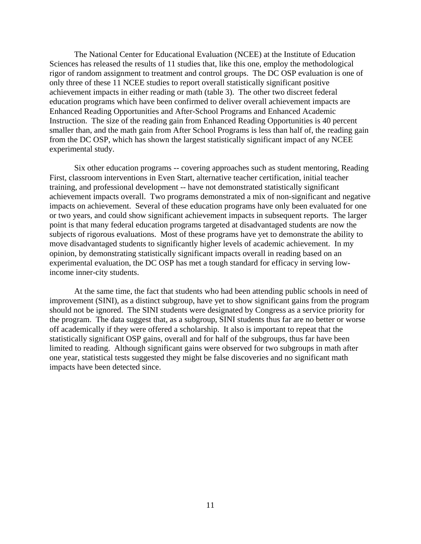The National Center for Educational Evaluation (NCEE) at the Institute of Education Sciences has released the results of 11 studies that, like this one, employ the methodological rigor of random assignment to treatment and control groups. The DC OSP evaluation is one of only three of these 11 NCEE studies to report overall statistically significant positive achievement impacts in either reading or math (table 3). The other two discreet federal education programs which have been confirmed to deliver overall achievement impacts are Enhanced Reading Opportunities and After-School Programs and Enhanced Academic Instruction. The size of the reading gain from Enhanced Reading Opportunities is 40 percent smaller than, and the math gain from After School Programs is less than half of, the reading gain from the DC OSP, which has shown the largest statistically significant impact of any NCEE experimental study.

 Six other education programs -- covering approaches such as student mentoring, Reading First, classroom interventions in Even Start, alternative teacher certification, initial teacher training, and professional development -- have not demonstrated statistically significant achievement impacts overall. Two programs demonstrated a mix of non-significant and negative impacts on achievement. Several of these education programs have only been evaluated for one or two years, and could show significant achievement impacts in subsequent reports. The larger point is that many federal education programs targeted at disadvantaged students are now the subjects of rigorous evaluations. Most of these programs have yet to demonstrate the ability to move disadvantaged students to significantly higher levels of academic achievement. In my opinion, by demonstrating statistically significant impacts overall in reading based on an experimental evaluation, the DC OSP has met a tough standard for efficacy in serving lowincome inner-city students.

At the same time, the fact that students who had been attending public schools in need of improvement (SINI), as a distinct subgroup, have yet to show significant gains from the program should not be ignored. The SINI students were designated by Congress as a service priority for the program. The data suggest that, as a subgroup, SINI students thus far are no better or worse off academically if they were offered a scholarship. It also is important to repeat that the statistically significant OSP gains, overall and for half of the subgroups, thus far have been limited to reading. Although significant gains were observed for two subgroups in math after one year, statistical tests suggested they might be false discoveries and no significant math impacts have been detected since.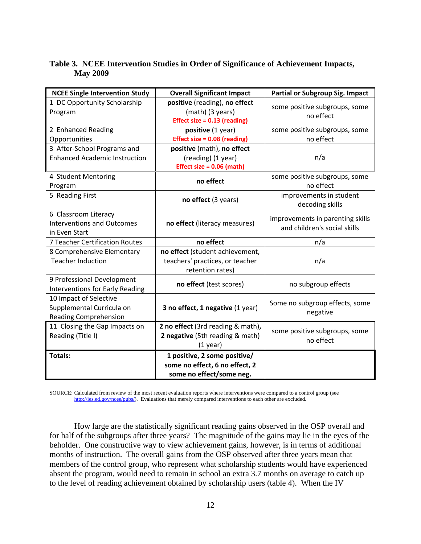# **Table 3. NCEE Intervention Studies in Order of Significance of Achievement Impacts, May 2009**

| <b>NCEE Single Intervention Study</b>  | <b>Overall Significant Impact</b>   | <b>Partial or Subgroup Sig. Impact</b>     |  |
|----------------------------------------|-------------------------------------|--------------------------------------------|--|
| 1 DC Opportunity Scholarship           | positive (reading), no effect       | some positive subgroups, some<br>no effect |  |
| Program                                | (math) (3 years)                    |                                            |  |
|                                        | <b>Effect size = 0.13 (reading)</b> |                                            |  |
| 2 Enhanced Reading                     | positive (1 year)                   | some positive subgroups, some              |  |
| Opportunities                          | Effect size = 0.08 (reading)        | no effect                                  |  |
| 3 After-School Programs and            | positive (math), no effect          |                                            |  |
| <b>Enhanced Academic Instruction</b>   | (reading) (1 year)                  | n/a                                        |  |
|                                        | Effect size = $0.06$ (math)         |                                            |  |
| 4 Student Mentoring                    | no effect                           | some positive subgroups, some              |  |
| Program                                |                                     | no effect                                  |  |
| 5 Reading First                        | no effect (3 years)                 | improvements in student                    |  |
|                                        |                                     | decoding skills                            |  |
| 6 Classroom Literacy                   |                                     | improvements in parenting skills           |  |
| <b>Interventions and Outcomes</b>      | no effect (literacy measures)       | and children's social skills               |  |
| in Even Start                          |                                     |                                            |  |
| 7 Teacher Certification Routes         | no effect                           | n/a                                        |  |
| 8 Comprehensive Elementary             | no effect (student achievement,     |                                            |  |
| <b>Teacher Induction</b>               | teachers' practices, or teacher     | n/a                                        |  |
|                                        | retention rates)                    |                                            |  |
| 9 Professional Development             | no effect (test scores)             | no subgroup effects                        |  |
| <b>Interventions for Early Reading</b> |                                     |                                            |  |
| 10 Impact of Selective                 |                                     | Some no subgroup effects, some             |  |
| Supplemental Curricula on              | 3 no effect, 1 negative (1 year)    |                                            |  |
| <b>Reading Comprehension</b>           |                                     | negative                                   |  |
| 11 Closing the Gap Impacts on          | 2 no effect (3rd reading & math),   |                                            |  |
| Reading (Title I)                      | 2 negative (5th reading & math)     | some positive subgroups, some<br>no effect |  |
|                                        | $(1$ year)                          |                                            |  |
| <b>Totals:</b>                         | 1 positive, 2 some positive/        |                                            |  |
|                                        | some no effect, 6 no effect, 2      |                                            |  |
|                                        | some no effect/some neg.            |                                            |  |

SOURCE: Calculated from review of the most recent evaluation reports where interventions were compared to a control group (see [http://ies.ed.gov/ncee/pubs/\)](http://ies.ed.gov/ncee/pubs/). Evaluations that merely compared interventions to each other are excluded.

 How large are the statistically significant reading gains observed in the OSP overall and for half of the subgroups after three years? The magnitude of the gains may lie in the eyes of the beholder. One constructive way to view achievement gains, however, is in terms of additional months of instruction. The overall gains from the OSP observed after three years mean that members of the control group, who represent what scholarship students would have experienced absent the program, would need to remain in school an extra 3.7 months on average to catch up to the level of reading achievement obtained by scholarship users (table 4). When the IV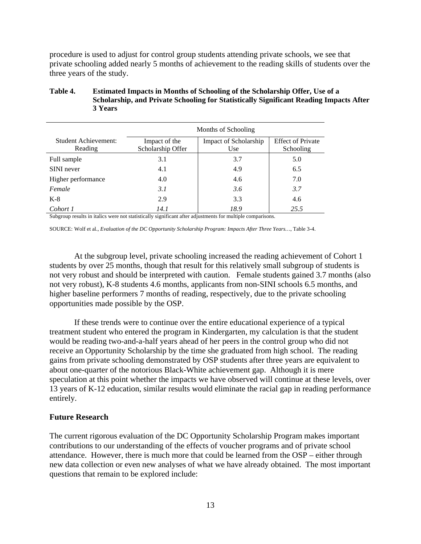procedure is used to adjust for control group students attending private schools, we see that private schooling added nearly 5 months of achievement to the reading skills of students over the three years of the study.

|                                 | Months of Schooling                |                              |                                       |  |  |
|---------------------------------|------------------------------------|------------------------------|---------------------------------------|--|--|
| Student Achievement:<br>Reading | Impact of the<br>Scholarship Offer | Impact of Scholarship<br>Use | <b>Effect of Private</b><br>Schooling |  |  |
| Full sample                     | 3.1                                | 3.7                          | 5.0                                   |  |  |
| SINI never                      | 4.1                                | 4.9                          | 6.5                                   |  |  |
| Higher performance              | 4.0                                | 4.6                          | 7.0                                   |  |  |
| Female                          | 3.1                                | 3.6                          | 3.7                                   |  |  |
| $K-8$                           | 2.9                                | 3.3                          | 4.6                                   |  |  |
| Cohort 1                        | 14. I                              | 18.9                         | 25.5                                  |  |  |

## **Table 4. Estimated Impacts in Months of Schooling of the Scholarship Offer, Use of a Scholarship, and Private Schooling for Statistically Significant Reading Impacts After 3 Years**

Subgroup results in italics were not statistically significant after adjustments for multiple comparisons.

SOURCE: Wolf et al., *Evaluation of the DC Opportunity Scholarship Program: Impacts After Three Years…*, Table 3-4.

 At the subgroup level, private schooling increased the reading achievement of Cohort 1 students by over 25 months, though that result for this relatively small subgroup of students is not very robust and should be interpreted with caution. Female students gained 3.7 months (also not very robust), K-8 students 4.6 months, applicants from non-SINI schools 6.5 months, and higher baseline performers 7 months of reading, respectively, due to the private schooling opportunities made possible by the OSP.

If these trends were to continue over the entire educational experience of a typical treatment student who entered the program in Kindergarten, my calculation is that the student would be reading two-and-a-half years ahead of her peers in the control group who did not receive an Opportunity Scholarship by the time she graduated from high school. The reading gains from private schooling demonstrated by OSP students after three years are equivalent to about one-quarter of the notorious Black-White achievement gap. Although it is mere speculation at this point whether the impacts we have observed will continue at these levels, over 13 years of K-12 education, similar results would eliminate the racial gap in reading performance entirely.

#### **Future Research**

The current rigorous evaluation of the DC Opportunity Scholarship Program makes important contributions to our understanding of the effects of voucher programs and of private school attendance. However, there is much more that could be learned from the OSP – either through new data collection or even new analyses of what we have already obtained. The most important questions that remain to be explored include: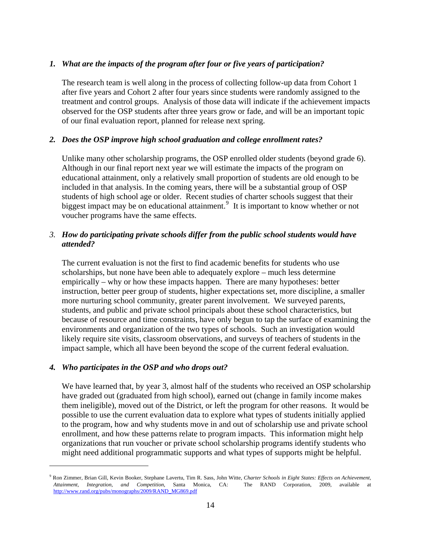# *1. What are the impacts of the program after four or five years of participation?*

The research team is well along in the process of collecting follow-up data from Cohort 1 after five years and Cohort 2 after four years since students were randomly assigned to the treatment and control groups. Analysis of those data will indicate if the achievement impacts observed for the OSP students after three years grow or fade, and will be an important topic of our final evaluation report, planned for release next spring.

# *2. Does the OSP improve high school graduation and college enrollment rates?*

Unlike many other scholarship programs, the OSP enrolled older students (beyond grade 6). Although in our final report next year we will estimate the impacts of the program on educational attainment, only a relatively small proportion of students are old enough to be included in that analysis. In the coming years, there will be a substantial group of OSP students of high school age or older. Recent studies of charter schools suggest that their biggest impact may be on educational attainment.<sup>[9](#page-13-0)</sup> It is important to know whether or not voucher programs have the same effects.

# *3. How do participating private schools differ from the public school students would have attended?*

The current evaluation is not the first to find academic benefits for students who use scholarships, but none have been able to adequately explore – much less determine empirically – why or how these impacts happen. There are many hypotheses: better instruction, better peer group of students, higher expectations set, more discipline, a smaller more nurturing school community, greater parent involvement. We surveyed parents, students, and public and private school principals about these school characteristics, but because of resource and time constraints, have only begun to tap the surface of examining the environments and organization of the two types of schools. Such an investigation would likely require site visits, classroom observations, and surveys of teachers of students in the impact sample, which all have been beyond the scope of the current federal evaluation.

## *4. Who participates in the OSP and who drops out?*

1

We have learned that, by year 3, almost half of the students who received an OSP scholarship have graded out (graduated from high school), earned out (change in family income makes them ineligible), moved out of the District, or left the program for other reasons. It would be possible to use the current evaluation data to explore what types of students initially applied to the program, how and why students move in and out of scholarship use and private school enrollment, and how these patterns relate to program impacts. This information might help organizations that run voucher or private school scholarship programs identify students who might need additional programmatic supports and what types of supports might be helpful.

<span id="page-13-0"></span><sup>9</sup> Ron Zimmer, Brian Gill, Kevin Booker, Stephane Lavertu, Tim R. Sass, John Witte, *Charter Schools in Eight States: Effects on Achievement, Attainment, Integration, and Competition*, Santa Monica, CA: The RAND Corporation, 2009, available at [http://www.rand.org/pubs/monographs/2009/RAND\\_MG869.pdf](http://www.rand.org/pubs/monographs/2009/RAND_MG869.pdf)